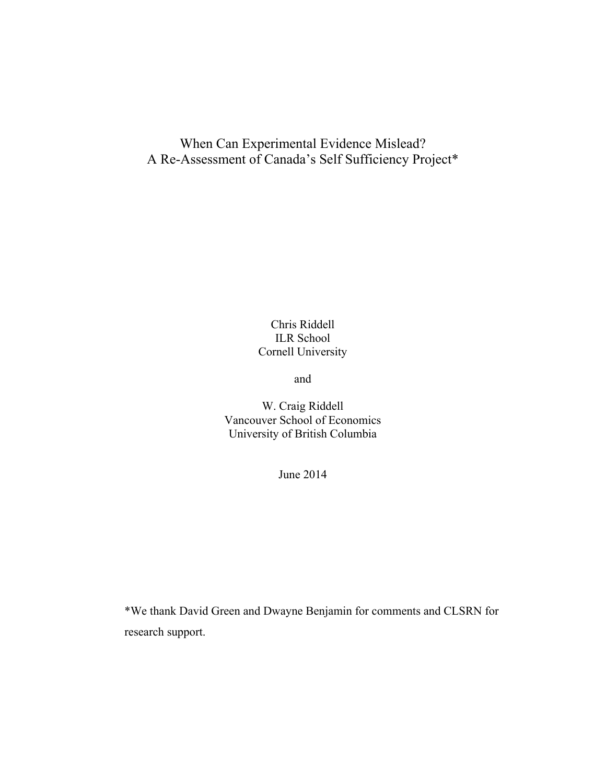## When Can Experimental Evidence Mislead? A Re-Assessment of Canada's Self Sufficiency Project\*

### Chris Riddell ILR School Cornell University

and

W. Craig Riddell Vancouver School of Economics University of British Columbia

June 2014

\*We thank David Green and Dwayne Benjamin for comments and CLSRN for research support.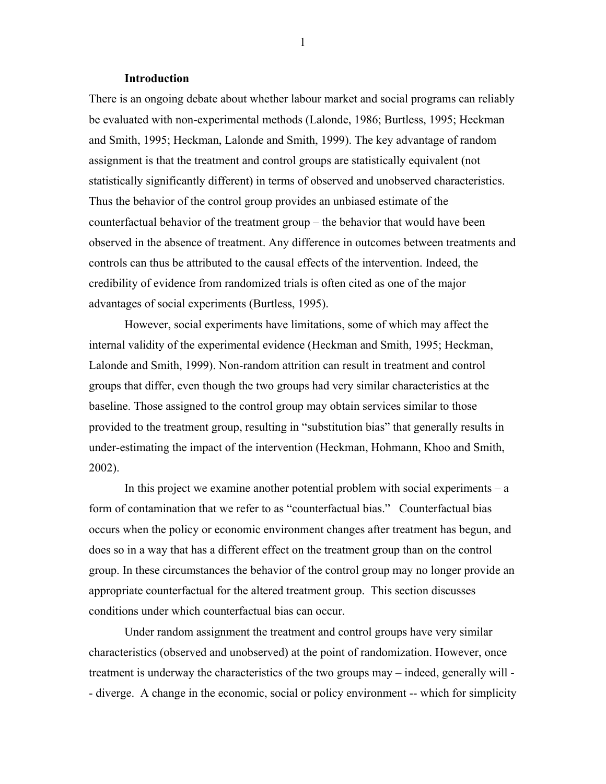#### **Introduction**

There is an ongoing debate about whether labour market and social programs can reliably be evaluated with non-experimental methods (Lalonde, 1986; Burtless, 1995; Heckman and Smith, 1995; Heckman, Lalonde and Smith, 1999). The key advantage of random assignment is that the treatment and control groups are statistically equivalent (not statistically significantly different) in terms of observed and unobserved characteristics. Thus the behavior of the control group provides an unbiased estimate of the counterfactual behavior of the treatment group – the behavior that would have been observed in the absence of treatment. Any difference in outcomes between treatments and controls can thus be attributed to the causal effects of the intervention. Indeed, the credibility of evidence from randomized trials is often cited as one of the major advantages of social experiments (Burtless, 1995).

However, social experiments have limitations, some of which may affect the internal validity of the experimental evidence (Heckman and Smith, 1995; Heckman, Lalonde and Smith, 1999). Non-random attrition can result in treatment and control groups that differ, even though the two groups had very similar characteristics at the baseline. Those assigned to the control group may obtain services similar to those provided to the treatment group, resulting in "substitution bias" that generally results in under-estimating the impact of the intervention (Heckman, Hohmann, Khoo and Smith, 2002).

In this project we examine another potential problem with social experiments  $-a$ form of contamination that we refer to as "counterfactual bias." Counterfactual bias occurs when the policy or economic environment changes after treatment has begun, and does so in a way that has a different effect on the treatment group than on the control group. In these circumstances the behavior of the control group may no longer provide an appropriate counterfactual for the altered treatment group. This section discusses conditions under which counterfactual bias can occur.

Under random assignment the treatment and control groups have very similar characteristics (observed and unobserved) at the point of randomization. However, once treatment is underway the characteristics of the two groups may – indeed, generally will - - diverge. A change in the economic, social or policy environment -- which for simplicity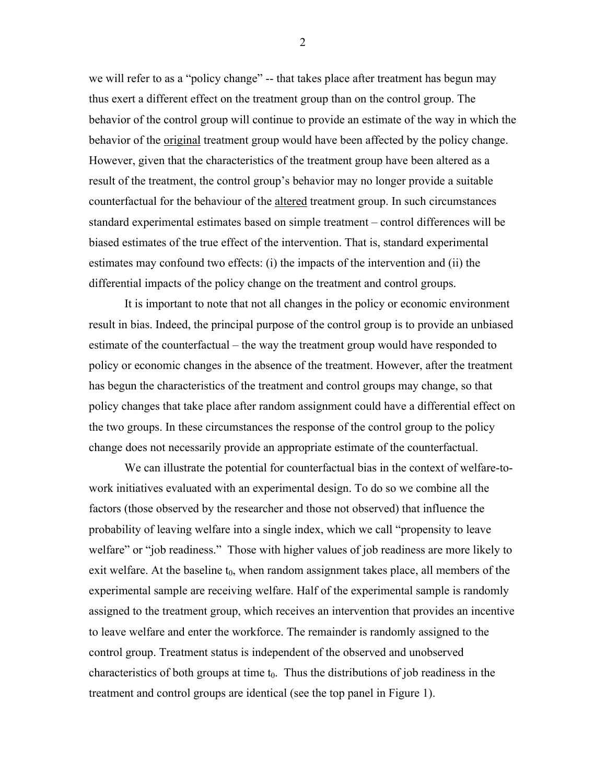we will refer to as a "policy change" -- that takes place after treatment has begun may thus exert a different effect on the treatment group than on the control group. The behavior of the control group will continue to provide an estimate of the way in which the behavior of the <u>original</u> treatment group would have been affected by the policy change. However, given that the characteristics of the treatment group have been altered as a result of the treatment, the control group's behavior may no longer provide a suitable counterfactual for the behaviour of the altered treatment group. In such circumstances standard experimental estimates based on simple treatment – control differences will be biased estimates of the true effect of the intervention. That is, standard experimental estimates may confound two effects: (i) the impacts of the intervention and (ii) the differential impacts of the policy change on the treatment and control groups.

It is important to note that not all changes in the policy or economic environment result in bias. Indeed, the principal purpose of the control group is to provide an unbiased estimate of the counterfactual – the way the treatment group would have responded to policy or economic changes in the absence of the treatment. However, after the treatment has begun the characteristics of the treatment and control groups may change, so that policy changes that take place after random assignment could have a differential effect on the two groups. In these circumstances the response of the control group to the policy change does not necessarily provide an appropriate estimate of the counterfactual.

We can illustrate the potential for counterfactual bias in the context of welfare-towork initiatives evaluated with an experimental design. To do so we combine all the factors (those observed by the researcher and those not observed) that influence the probability of leaving welfare into a single index, which we call "propensity to leave welfare" or "job readiness." Those with higher values of job readiness are more likely to exit welfare. At the baseline  $t_0$ , when random assignment takes place, all members of the experimental sample are receiving welfare. Half of the experimental sample is randomly assigned to the treatment group, which receives an intervention that provides an incentive to leave welfare and enter the workforce. The remainder is randomly assigned to the control group. Treatment status is independent of the observed and unobserved characteristics of both groups at time  $t_0$ . Thus the distributions of job readiness in the treatment and control groups are identical (see the top panel in Figure 1).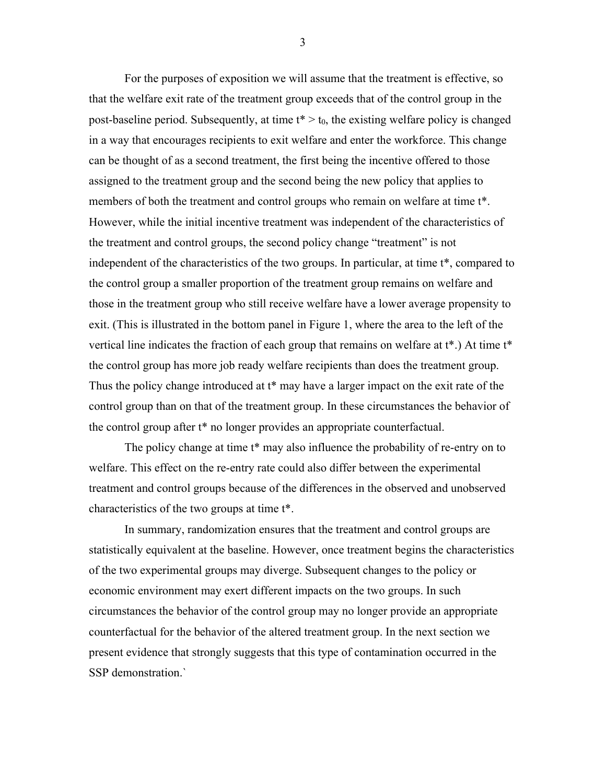For the purposes of exposition we will assume that the treatment is effective, so that the welfare exit rate of the treatment group exceeds that of the control group in the post-baseline period. Subsequently, at time  $t^* > t_0$ , the existing welfare policy is changed in a way that encourages recipients to exit welfare and enter the workforce. This change can be thought of as a second treatment, the first being the incentive offered to those assigned to the treatment group and the second being the new policy that applies to members of both the treatment and control groups who remain on welfare at time t\*. However, while the initial incentive treatment was independent of the characteristics of the treatment and control groups, the second policy change "treatment" is not independent of the characteristics of the two groups. In particular, at time t\*, compared to the control group a smaller proportion of the treatment group remains on welfare and those in the treatment group who still receive welfare have a lower average propensity to exit. (This is illustrated in the bottom panel in Figure 1, where the area to the left of the vertical line indicates the fraction of each group that remains on welfare at t\*.) At time t\* the control group has more job ready welfare recipients than does the treatment group. Thus the policy change introduced at t<sup>\*</sup> may have a larger impact on the exit rate of the control group than on that of the treatment group. In these circumstances the behavior of the control group after t\* no longer provides an appropriate counterfactual.

The policy change at time t<sup>\*</sup> may also influence the probability of re-entry on to welfare. This effect on the re-entry rate could also differ between the experimental treatment and control groups because of the differences in the observed and unobserved characteristics of the two groups at time t\*.

In summary, randomization ensures that the treatment and control groups are statistically equivalent at the baseline. However, once treatment begins the characteristics of the two experimental groups may diverge. Subsequent changes to the policy or economic environment may exert different impacts on the two groups. In such circumstances the behavior of the control group may no longer provide an appropriate counterfactual for the behavior of the altered treatment group. In the next section we present evidence that strongly suggests that this type of contamination occurred in the SSP demonstration.`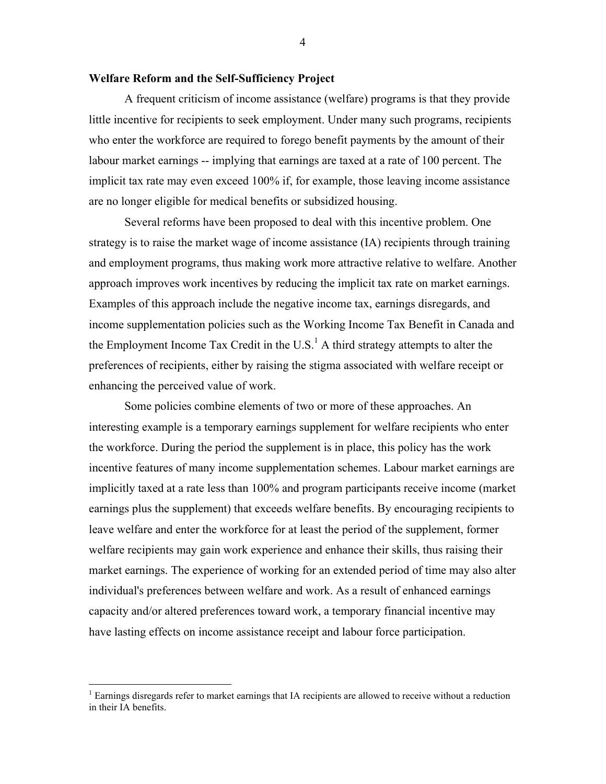#### **Welfare Reform and the Self-Sufficiency Project**

A frequent criticism of income assistance (welfare) programs is that they provide little incentive for recipients to seek employment. Under many such programs, recipients who enter the workforce are required to forego benefit payments by the amount of their labour market earnings -- implying that earnings are taxed at a rate of 100 percent. The implicit tax rate may even exceed 100% if, for example, those leaving income assistance are no longer eligible for medical benefits or subsidized housing.

Several reforms have been proposed to deal with this incentive problem. One strategy is to raise the market wage of income assistance (IA) recipients through training and employment programs, thus making work more attractive relative to welfare. Another approach improves work incentives by reducing the implicit tax rate on market earnings. Examples of this approach include the negative income tax, earnings disregards, and income supplementation policies such as the Working Income Tax Benefit in Canada and the Employment Income Tax Credit in the U.S.<sup>1</sup> A third strategy attempts to alter the preferences of recipients, either by raising the stigma associated with welfare receipt or enhancing the perceived value of work.

Some policies combine elements of two or more of these approaches. An interesting example is a temporary earnings supplement for welfare recipients who enter the workforce. During the period the supplement is in place, this policy has the work incentive features of many income supplementation schemes. Labour market earnings are implicitly taxed at a rate less than 100% and program participants receive income (market earnings plus the supplement) that exceeds welfare benefits. By encouraging recipients to leave welfare and enter the workforce for at least the period of the supplement, former welfare recipients may gain work experience and enhance their skills, thus raising their market earnings. The experience of working for an extended period of time may also alter individual's preferences between welfare and work. As a result of enhanced earnings capacity and/or altered preferences toward work, a temporary financial incentive may have lasting effects on income assistance receipt and labour force participation.

 $\frac{1}{1}$  $<sup>1</sup>$  Earnings disregards refer to market earnings that IA recipients are allowed to receive without a reduction</sup> in their IA benefits.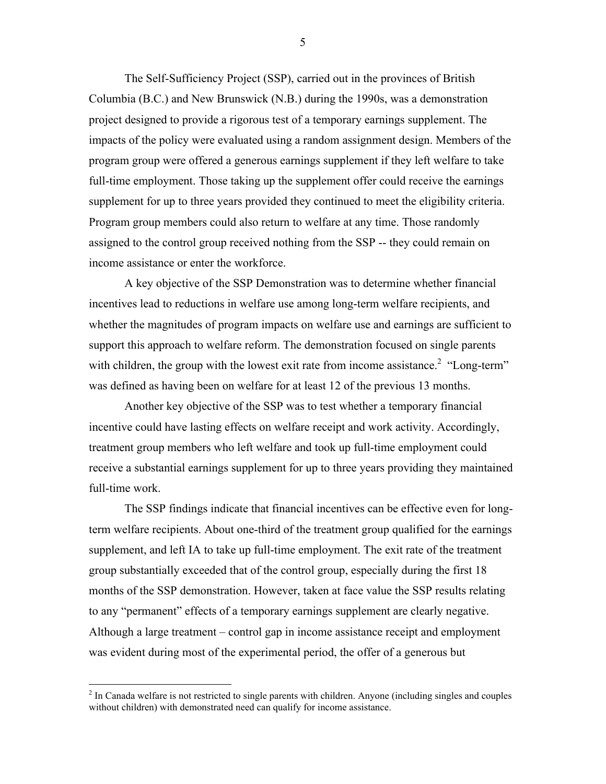The Self-Sufficiency Project (SSP), carried out in the provinces of British Columbia (B.C.) and New Brunswick (N.B.) during the 1990s, was a demonstration project designed to provide a rigorous test of a temporary earnings supplement. The impacts of the policy were evaluated using a random assignment design. Members of the program group were offered a generous earnings supplement if they left welfare to take full-time employment. Those taking up the supplement offer could receive the earnings supplement for up to three years provided they continued to meet the eligibility criteria. Program group members could also return to welfare at any time. Those randomly assigned to the control group received nothing from the SSP -- they could remain on income assistance or enter the workforce.

A key objective of the SSP Demonstration was to determine whether financial incentives lead to reductions in welfare use among long-term welfare recipients, and whether the magnitudes of program impacts on welfare use and earnings are sufficient to support this approach to welfare reform. The demonstration focused on single parents with children, the group with the lowest exit rate from income assistance.<sup>2</sup> "Long-term" was defined as having been on welfare for at least 12 of the previous 13 months.

Another key objective of the SSP was to test whether a temporary financial incentive could have lasting effects on welfare receipt and work activity. Accordingly, treatment group members who left welfare and took up full-time employment could receive a substantial earnings supplement for up to three years providing they maintained full-time work.

The SSP findings indicate that financial incentives can be effective even for longterm welfare recipients. About one-third of the treatment group qualified for the earnings supplement, and left IA to take up full-time employment. The exit rate of the treatment group substantially exceeded that of the control group, especially during the first 18 months of the SSP demonstration. However, taken at face value the SSP results relating to any "permanent" effects of a temporary earnings supplement are clearly negative. Although a large treatment – control gap in income assistance receipt and employment was evident during most of the experimental period, the offer of a generous but

 $\frac{1}{2}$  $<sup>2</sup>$  In Canada welfare is not restricted to single parents with children. Anyone (including singles and couples</sup> without children) with demonstrated need can qualify for income assistance.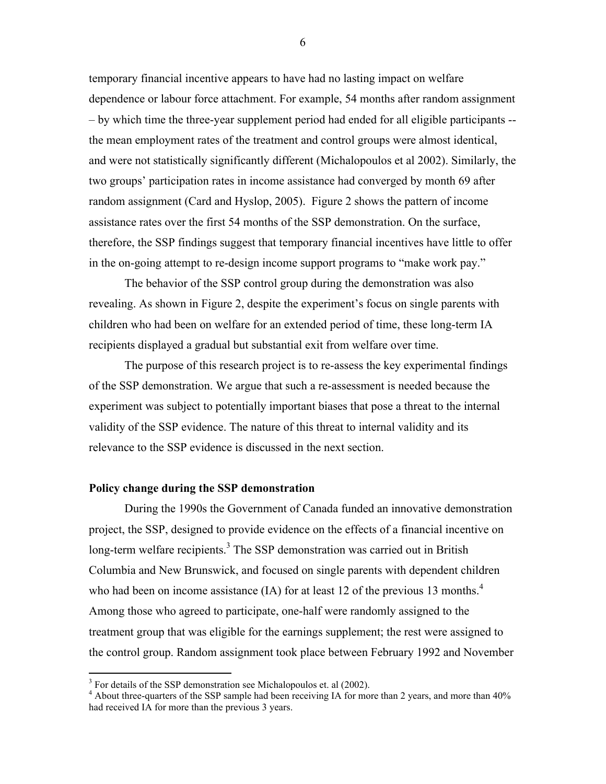temporary financial incentive appears to have had no lasting impact on welfare dependence or labour force attachment. For example, 54 months after random assignment – by which time the three-year supplement period had ended for all eligible participants - the mean employment rates of the treatment and control groups were almost identical, and were not statistically significantly different (Michalopoulos et al 2002). Similarly, the two groups' participation rates in income assistance had converged by month 69 after random assignment (Card and Hyslop, 2005). Figure 2 shows the pattern of income assistance rates over the first 54 months of the SSP demonstration. On the surface, therefore, the SSP findings suggest that temporary financial incentives have little to offer in the on-going attempt to re-design income support programs to "make work pay."

The behavior of the SSP control group during the demonstration was also revealing. As shown in Figure 2, despite the experiment's focus on single parents with children who had been on welfare for an extended period of time, these long-term IA recipients displayed a gradual but substantial exit from welfare over time.

The purpose of this research project is to re-assess the key experimental findings of the SSP demonstration. We argue that such a re-assessment is needed because the experiment was subject to potentially important biases that pose a threat to the internal validity of the SSP evidence. The nature of this threat to internal validity and its relevance to the SSP evidence is discussed in the next section.

#### **Policy change during the SSP demonstration**

During the 1990s the Government of Canada funded an innovative demonstration project, the SSP, designed to provide evidence on the effects of a financial incentive on long-term welfare recipients.<sup>3</sup> The SSP demonstration was carried out in British Columbia and New Brunswick, and focused on single parents with dependent children who had been on income assistance (IA) for at least 12 of the previous 13 months.<sup>4</sup> Among those who agreed to participate, one-half were randomly assigned to the treatment group that was eligible for the earnings supplement; the rest were assigned to the control group. Random assignment took place between February 1992 and November

 <sup>3</sup>  $3$  For details of the SSP demonstration see Michalopoulos et. al (2002).

<sup>&</sup>lt;sup>4</sup> About three-quarters of the SSP sample had been receiving IA for more than 2 years, and more than  $40\%$ had received IA for more than the previous 3 years.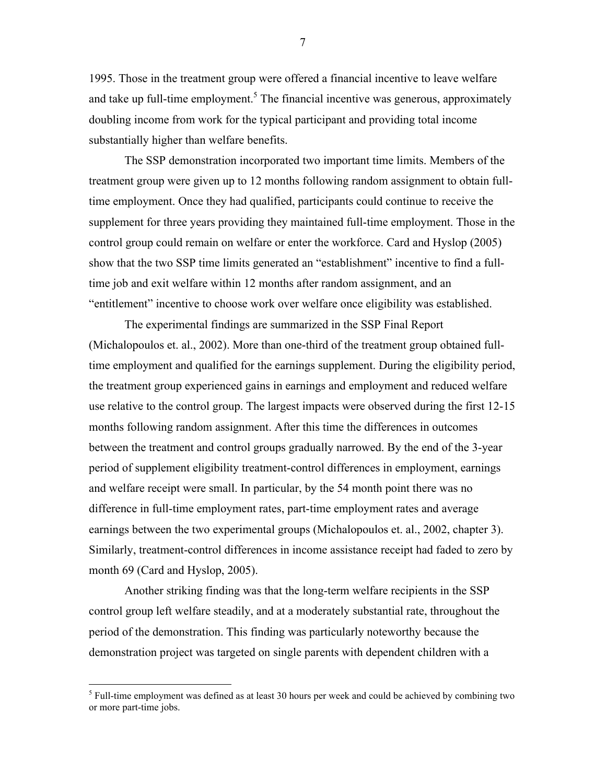1995. Those in the treatment group were offered a financial incentive to leave welfare and take up full-time employment.<sup>5</sup> The financial incentive was generous, approximately doubling income from work for the typical participant and providing total income substantially higher than welfare benefits.

The SSP demonstration incorporated two important time limits. Members of the treatment group were given up to 12 months following random assignment to obtain fulltime employment. Once they had qualified, participants could continue to receive the supplement for three years providing they maintained full-time employment. Those in the control group could remain on welfare or enter the workforce. Card and Hyslop (2005) show that the two SSP time limits generated an "establishment" incentive to find a fulltime job and exit welfare within 12 months after random assignment, and an "entitlement" incentive to choose work over welfare once eligibility was established.

The experimental findings are summarized in the SSP Final Report (Michalopoulos et. al., 2002). More than one-third of the treatment group obtained fulltime employment and qualified for the earnings supplement. During the eligibility period, the treatment group experienced gains in earnings and employment and reduced welfare use relative to the control group. The largest impacts were observed during the first 12-15 months following random assignment. After this time the differences in outcomes between the treatment and control groups gradually narrowed. By the end of the 3-year period of supplement eligibility treatment-control differences in employment, earnings and welfare receipt were small. In particular, by the 54 month point there was no difference in full-time employment rates, part-time employment rates and average earnings between the two experimental groups (Michalopoulos et. al., 2002, chapter 3). Similarly, treatment-control differences in income assistance receipt had faded to zero by month 69 (Card and Hyslop, 2005).

Another striking finding was that the long-term welfare recipients in the SSP control group left welfare steadily, and at a moderately substantial rate, throughout the period of the demonstration. This finding was particularly noteworthy because the demonstration project was targeted on single parents with dependent children with a

 <sup>5</sup>  $<sup>5</sup>$  Full-time employment was defined as at least 30 hours per week and could be achieved by combining two</sup> or more part-time jobs.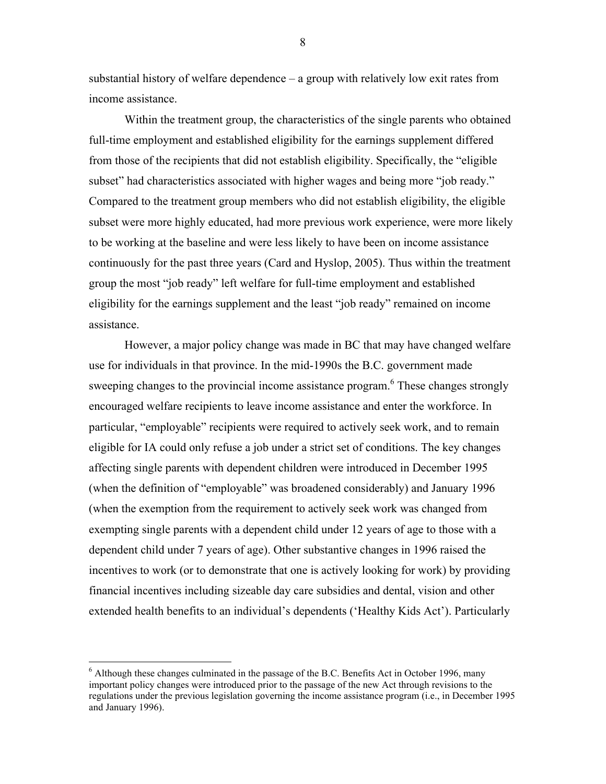substantial history of welfare dependence – a group with relatively low exit rates from income assistance.

Within the treatment group, the characteristics of the single parents who obtained full-time employment and established eligibility for the earnings supplement differed from those of the recipients that did not establish eligibility. Specifically, the "eligible subset" had characteristics associated with higher wages and being more "job ready." Compared to the treatment group members who did not establish eligibility, the eligible subset were more highly educated, had more previous work experience, were more likely to be working at the baseline and were less likely to have been on income assistance continuously for the past three years (Card and Hyslop, 2005). Thus within the treatment group the most "job ready" left welfare for full-time employment and established eligibility for the earnings supplement and the least "job ready" remained on income assistance.

However, a major policy change was made in BC that may have changed welfare use for individuals in that province. In the mid-1990s the B.C. government made sweeping changes to the provincial income assistance program.<sup>6</sup> These changes strongly encouraged welfare recipients to leave income assistance and enter the workforce. In particular, "employable" recipients were required to actively seek work, and to remain eligible for IA could only refuse a job under a strict set of conditions. The key changes affecting single parents with dependent children were introduced in December 1995 (when the definition of "employable" was broadened considerably) and January 1996 (when the exemption from the requirement to actively seek work was changed from exempting single parents with a dependent child under 12 years of age to those with a dependent child under 7 years of age). Other substantive changes in 1996 raised the incentives to work (or to demonstrate that one is actively looking for work) by providing financial incentives including sizeable day care subsidies and dental, vision and other extended health benefits to an individual's dependents ('Healthy Kids Act'). Particularly

 <sup>6</sup> <sup>6</sup> Although these changes culminated in the passage of the B.C. Benefits Act in October 1996, many important policy changes were introduced prior to the passage of the new Act through revisions to the regulations under the previous legislation governing the income assistance program (i.e., in December 1995 and January 1996).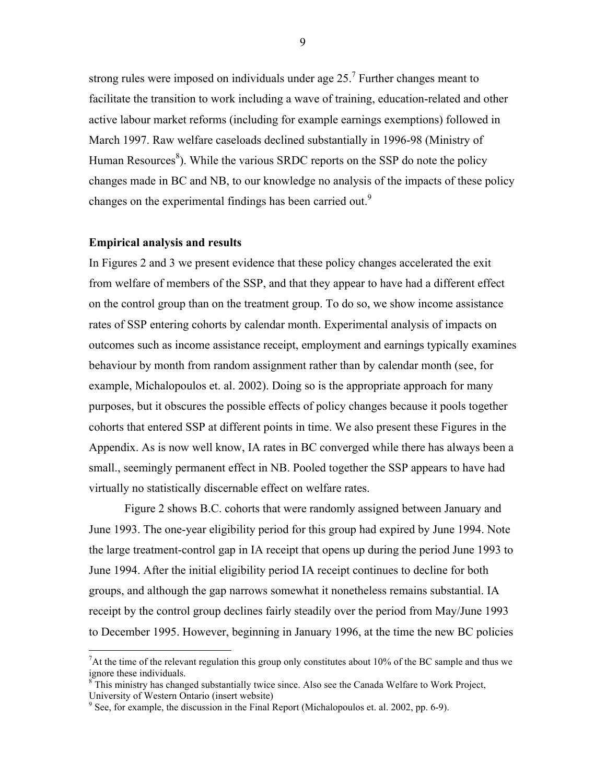strong rules were imposed on individuals under age  $25<sup>7</sup>$  Further changes meant to facilitate the transition to work including a wave of training, education-related and other active labour market reforms (including for example earnings exemptions) followed in March 1997. Raw welfare caseloads declined substantially in 1996-98 (Ministry of Human Resources<sup>8</sup>). While the various SRDC reports on the SSP do note the policy changes made in BC and NB, to our knowledge no analysis of the impacts of these policy changes on the experimental findings has been carried out.<sup>9</sup>

#### **Empirical analysis and results**

In Figures 2 and 3 we present evidence that these policy changes accelerated the exit from welfare of members of the SSP, and that they appear to have had a different effect on the control group than on the treatment group. To do so, we show income assistance rates of SSP entering cohorts by calendar month. Experimental analysis of impacts on outcomes such as income assistance receipt, employment and earnings typically examines behaviour by month from random assignment rather than by calendar month (see, for example, Michalopoulos et. al. 2002). Doing so is the appropriate approach for many purposes, but it obscures the possible effects of policy changes because it pools together cohorts that entered SSP at different points in time. We also present these Figures in the Appendix. As is now well know, IA rates in BC converged while there has always been a small., seemingly permanent effect in NB. Pooled together the SSP appears to have had virtually no statistically discernable effect on welfare rates.

Figure 2 shows B.C. cohorts that were randomly assigned between January and June 1993. The one-year eligibility period for this group had expired by June 1994. Note the large treatment-control gap in IA receipt that opens up during the period June 1993 to June 1994. After the initial eligibility period IA receipt continues to decline for both groups, and although the gap narrows somewhat it nonetheless remains substantial. IA receipt by the control group declines fairly steadily over the period from May/June 1993 to December 1995. However, beginning in January 1996, at the time the new BC policies

 <sup>7</sup> At the time of the relevant regulation this group only constitutes about 10% of the BC sample and thus we ignore these individuals.

 $8<sup>8</sup>$ This ministry has changed substantially twice since. Also see the Canada Welfare to Work Project, University of Western Ontario (insert website)

 $9^9$  See, for example, the discussion in the Final Report (Michalopoulos et. al. 2002, pp. 6-9).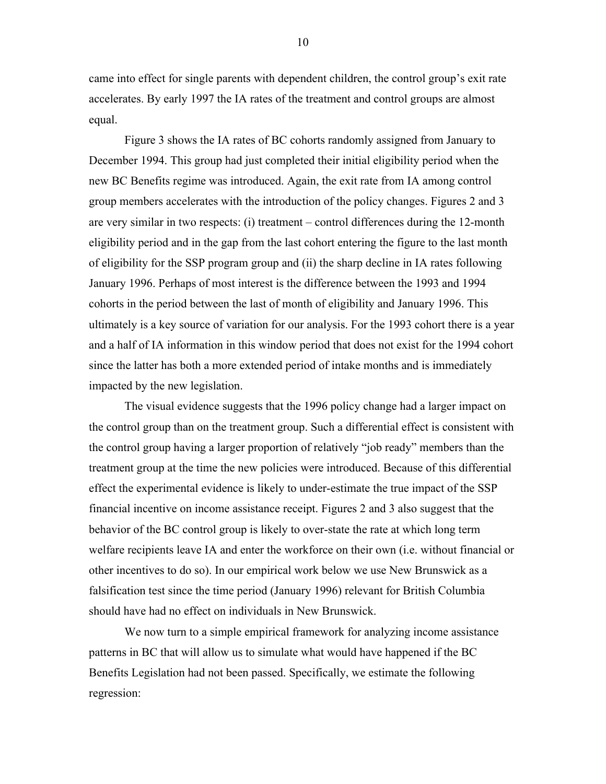came into effect for single parents with dependent children, the control group's exit rate accelerates. By early 1997 the IA rates of the treatment and control groups are almost equal.

Figure 3 shows the IA rates of BC cohorts randomly assigned from January to December 1994. This group had just completed their initial eligibility period when the new BC Benefits regime was introduced. Again, the exit rate from IA among control group members accelerates with the introduction of the policy changes. Figures 2 and 3 are very similar in two respects: (i) treatment – control differences during the 12-month eligibility period and in the gap from the last cohort entering the figure to the last month of eligibility for the SSP program group and (ii) the sharp decline in IA rates following January 1996. Perhaps of most interest is the difference between the 1993 and 1994 cohorts in the period between the last of month of eligibility and January 1996. This ultimately is a key source of variation for our analysis. For the 1993 cohort there is a year and a half of IA information in this window period that does not exist for the 1994 cohort since the latter has both a more extended period of intake months and is immediately impacted by the new legislation.

The visual evidence suggests that the 1996 policy change had a larger impact on the control group than on the treatment group. Such a differential effect is consistent with the control group having a larger proportion of relatively "job ready" members than the treatment group at the time the new policies were introduced. Because of this differential effect the experimental evidence is likely to under-estimate the true impact of the SSP financial incentive on income assistance receipt. Figures 2 and 3 also suggest that the behavior of the BC control group is likely to over-state the rate at which long term welfare recipients leave IA and enter the workforce on their own (i.e. without financial or other incentives to do so). In our empirical work below we use New Brunswick as a falsification test since the time period (January 1996) relevant for British Columbia should have had no effect on individuals in New Brunswick.

We now turn to a simple empirical framework for analyzing income assistance patterns in BC that will allow us to simulate what would have happened if the BC Benefits Legislation had not been passed. Specifically, we estimate the following regression: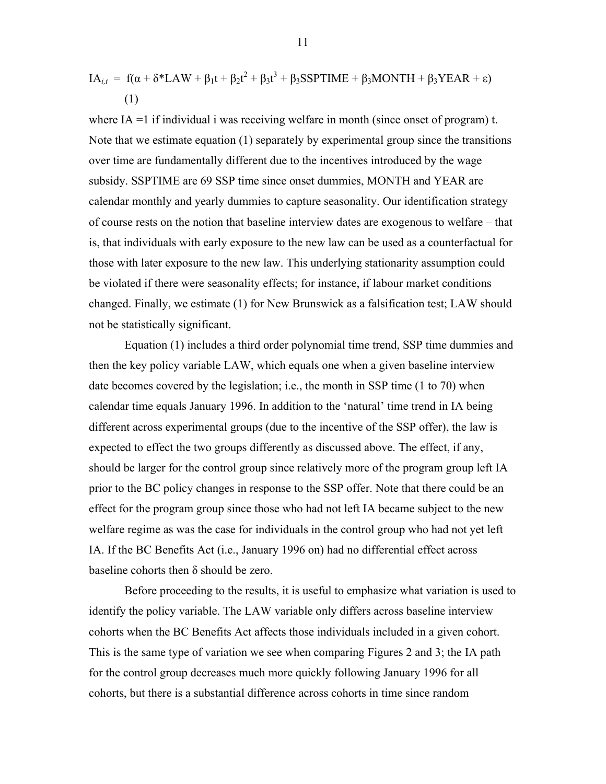$$
IA_{i,t} = f(\alpha + \delta * LAW + \beta_1 t + \beta_2 t^2 + \beta_3 t^3 + \beta_3 SSPTIME + \beta_3 MONTH + \beta_3 YEAR + \varepsilon)
$$
  
(1)

where IA =1 if individual i was receiving welfare in month (since onset of program) t. Note that we estimate equation (1) separately by experimental group since the transitions over time are fundamentally different due to the incentives introduced by the wage subsidy. SSPTIME are 69 SSP time since onset dummies, MONTH and YEAR are calendar monthly and yearly dummies to capture seasonality. Our identification strategy of course rests on the notion that baseline interview dates are exogenous to welfare – that is, that individuals with early exposure to the new law can be used as a counterfactual for those with later exposure to the new law. This underlying stationarity assumption could be violated if there were seasonality effects; for instance, if labour market conditions changed. Finally, we estimate (1) for New Brunswick as a falsification test; LAW should not be statistically significant.

Equation (1) includes a third order polynomial time trend, SSP time dummies and then the key policy variable LAW, which equals one when a given baseline interview date becomes covered by the legislation; i.e., the month in SSP time (1 to 70) when calendar time equals January 1996. In addition to the 'natural' time trend in IA being different across experimental groups (due to the incentive of the SSP offer), the law is expected to effect the two groups differently as discussed above. The effect, if any, should be larger for the control group since relatively more of the program group left IA prior to the BC policy changes in response to the SSP offer. Note that there could be an effect for the program group since those who had not left IA became subject to the new welfare regime as was the case for individuals in the control group who had not yet left IA. If the BC Benefits Act (i.e., January 1996 on) had no differential effect across baseline cohorts then δ should be zero.

Before proceeding to the results, it is useful to emphasize what variation is used to identify the policy variable. The LAW variable only differs across baseline interview cohorts when the BC Benefits Act affects those individuals included in a given cohort. This is the same type of variation we see when comparing Figures 2 and 3; the IA path for the control group decreases much more quickly following January 1996 for all cohorts, but there is a substantial difference across cohorts in time since random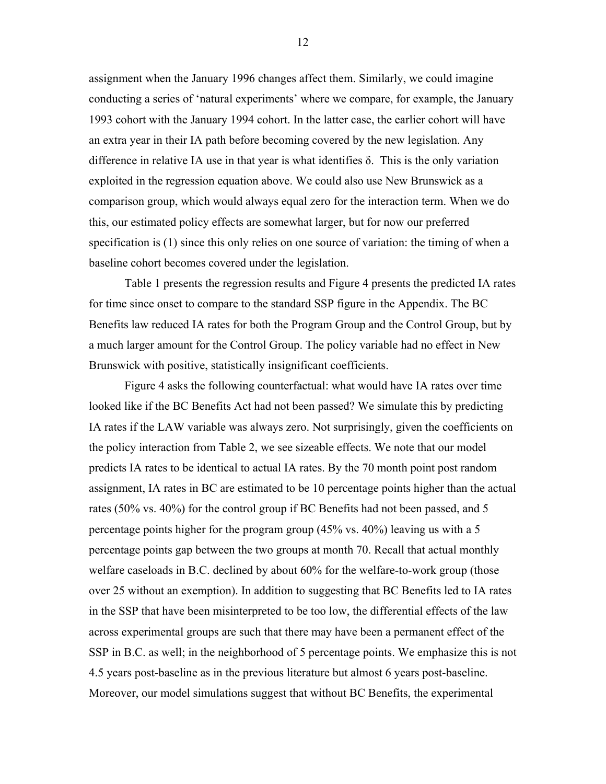assignment when the January 1996 changes affect them. Similarly, we could imagine conducting a series of 'natural experiments' where we compare, for example, the January 1993 cohort with the January 1994 cohort. In the latter case, the earlier cohort will have an extra year in their IA path before becoming covered by the new legislation. Any difference in relative IA use in that year is what identifies δ. This is the only variation exploited in the regression equation above. We could also use New Brunswick as a comparison group, which would always equal zero for the interaction term. When we do this, our estimated policy effects are somewhat larger, but for now our preferred specification is (1) since this only relies on one source of variation: the timing of when a baseline cohort becomes covered under the legislation.

Table 1 presents the regression results and Figure 4 presents the predicted IA rates for time since onset to compare to the standard SSP figure in the Appendix. The BC Benefits law reduced IA rates for both the Program Group and the Control Group, but by a much larger amount for the Control Group. The policy variable had no effect in New Brunswick with positive, statistically insignificant coefficients.

Figure 4 asks the following counterfactual: what would have IA rates over time looked like if the BC Benefits Act had not been passed? We simulate this by predicting IA rates if the LAW variable was always zero. Not surprisingly, given the coefficients on the policy interaction from Table 2, we see sizeable effects. We note that our model predicts IA rates to be identical to actual IA rates. By the 70 month point post random assignment, IA rates in BC are estimated to be 10 percentage points higher than the actual rates (50% vs. 40%) for the control group if BC Benefits had not been passed, and 5 percentage points higher for the program group (45% vs. 40%) leaving us with a 5 percentage points gap between the two groups at month 70. Recall that actual monthly welfare caseloads in B.C. declined by about 60% for the welfare-to-work group (those over 25 without an exemption). In addition to suggesting that BC Benefits led to IA rates in the SSP that have been misinterpreted to be too low, the differential effects of the law across experimental groups are such that there may have been a permanent effect of the SSP in B.C. as well; in the neighborhood of 5 percentage points. We emphasize this is not 4.5 years post-baseline as in the previous literature but almost 6 years post-baseline. Moreover, our model simulations suggest that without BC Benefits, the experimental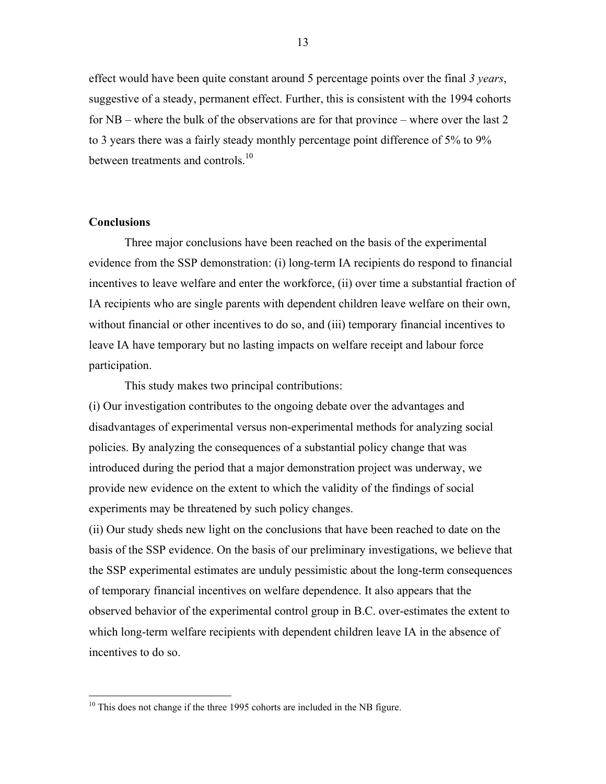effect would have been quite constant around 5 percentage points over the final *3 years*, suggestive of a steady, permanent effect. Further, this is consistent with the 1994 cohorts for NB – where the bulk of the observations are for that province – where over the last 2 to 3 years there was a fairly steady monthly percentage point difference of 5% to 9% between treatments and controls  $10$ 

#### **Conclusions**

Three major conclusions have been reached on the basis of the experimental evidence from the SSP demonstration: (i) long-term IA recipients do respond to financial incentives to leave welfare and enter the workforce, (ii) over time a substantial fraction of IA recipients who are single parents with dependent children leave welfare on their own, without financial or other incentives to do so, and (iii) temporary financial incentives to leave IA have temporary but no lasting impacts on welfare receipt and labour force participation.

This study makes two principal contributions:

(i) Our investigation contributes to the ongoing debate over the advantages and disadvantages of experimental versus non-experimental methods for analyzing social policies. By analyzing the consequences of a substantial policy change that was introduced during the period that a major demonstration project was underway, we provide new evidence on the extent to which the validity of the findings of social experiments may be threatened by such policy changes.

(ii) Our study sheds new light on the conclusions that have been reached to date on the basis of the SSP evidence. On the basis of our preliminary investigations, we believe that the SSP experimental estimates are unduly pessimistic about the long-term consequences of temporary financial incentives on welfare dependence. It also appears that the observed behavior of the experimental control group in B.C. over-estimates the extent to which long-term welfare recipients with dependent children leave IA in the absence of incentives to do so.

<sup>&</sup>lt;sup>10</sup> This does not change if the three 1995 cohorts are included in the NB figure.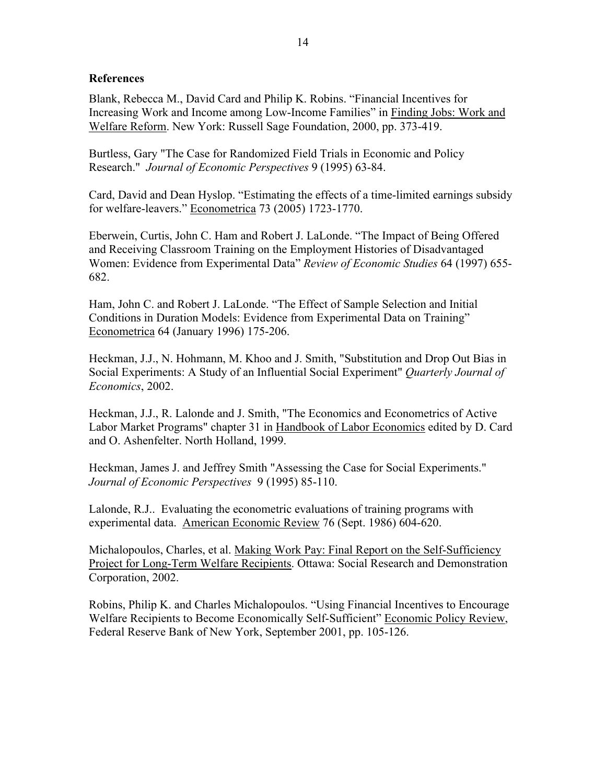### **References**

Blank, Rebecca M., David Card and Philip K. Robins. "Financial Incentives for Increasing Work and Income among Low-Income Families" in Finding Jobs: Work and Welfare Reform. New York: Russell Sage Foundation, 2000, pp. 373-419.

Burtless, Gary "The Case for Randomized Field Trials in Economic and Policy Research." *Journal of Economic Perspectives* 9 (1995) 63-84.

Card, David and Dean Hyslop. "Estimating the effects of a time-limited earnings subsidy for welfare-leavers." Econometrica 73 (2005) 1723-1770.

Eberwein, Curtis, John C. Ham and Robert J. LaLonde. "The Impact of Being Offered and Receiving Classroom Training on the Employment Histories of Disadvantaged Women: Evidence from Experimental Data" *Review of Economic Studies* 64 (1997) 655- 682.

Ham, John C. and Robert J. LaLonde. "The Effect of Sample Selection and Initial Conditions in Duration Models: Evidence from Experimental Data on Training" Econometrica 64 (January 1996) 175-206.

Heckman, J.J., N. Hohmann, M. Khoo and J. Smith, "Substitution and Drop Out Bias in Social Experiments: A Study of an Influential Social Experiment" *Quarterly Journal of Economics*, 2002.

Heckman, J.J., R. Lalonde and J. Smith, "The Economics and Econometrics of Active Labor Market Programs" chapter 31 in Handbook of Labor Economics edited by D. Card and O. Ashenfelter. North Holland, 1999.

Heckman, James J. and Jeffrey Smith "Assessing the Case for Social Experiments." *Journal of Economic Perspectives* 9 (1995) 85-110.

Lalonde, R.J.. Evaluating the econometric evaluations of training programs with experimental data. American Economic Review 76 (Sept. 1986) 604-620.

Michalopoulos, Charles, et al. Making Work Pay: Final Report on the Self-Sufficiency Project for Long-Term Welfare Recipients. Ottawa: Social Research and Demonstration Corporation, 2002.

Robins, Philip K. and Charles Michalopoulos. "Using Financial Incentives to Encourage Welfare Recipients to Become Economically Self-Sufficient" Economic Policy Review, Federal Reserve Bank of New York, September 2001, pp. 105-126.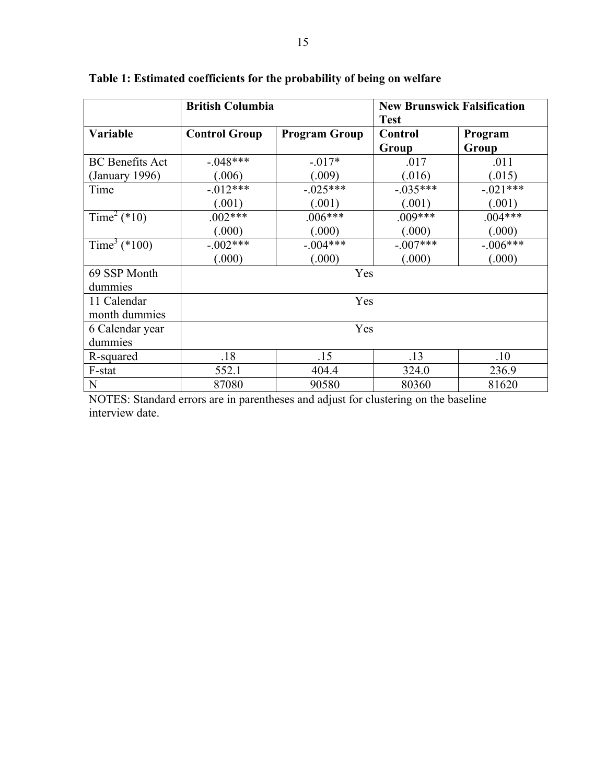|                          | <b>British Columbia</b> |                      | <b>New Brunswick Falsification</b><br><b>Test</b> |                  |
|--------------------------|-------------------------|----------------------|---------------------------------------------------|------------------|
| Variable                 | <b>Control Group</b>    | <b>Program Group</b> | <b>Control</b><br>Group                           | Program<br>Group |
| <b>BC</b> Benefits Act   | $-048***$               | $-.017*$             | .017                                              | .011             |
| (January 1996)           | (.006)                  | (.009)               | (.016)                                            | (.015)           |
| Time                     | $-.012***$              | $-0.025***$          | $-0.035***$                                       | $-.021***$       |
|                          | (.001)                  | (.001)               | (.001)                                            | (.001)           |
| Time <sup>2</sup> (*10)  | $.002***$               | $.006***$            | $.009***$                                         | $.004***$        |
|                          | (.000)                  | (.000)               | (.000)                                            | (.000)           |
| Time <sup>3</sup> (*100) | $-.002***$              | $-.004***$           | $-.007***$                                        | $-.006***$       |
|                          | (.000)                  | (.000)               | (.000)                                            | (.000)           |
| 69 SSP Month             | Yes                     |                      |                                                   |                  |
| dummies                  |                         |                      |                                                   |                  |
| 11 Calendar              | Yes                     |                      |                                                   |                  |
| month dummies            |                         |                      |                                                   |                  |
| 6 Calendar year          | Yes                     |                      |                                                   |                  |
| dummies                  |                         |                      |                                                   |                  |
| R-squared                | .18                     | .15                  | .13                                               | .10              |
| F-stat                   | 552.1                   | 404.4                | 324.0                                             | 236.9            |
| N                        | 87080                   | 90580                | 80360                                             | 81620            |

# **Table 1: Estimated coefficients for the probability of being on welfare**

NOTES: Standard errors are in parentheses and adjust for clustering on the baseline interview date.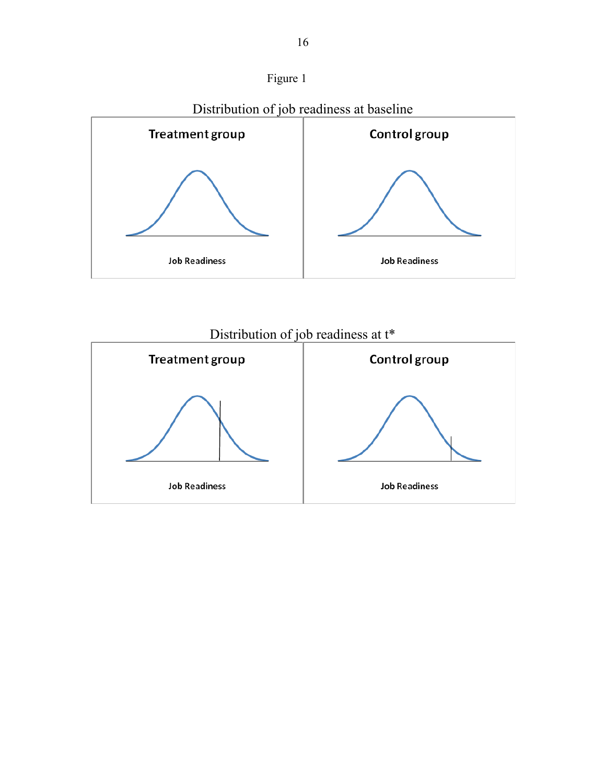





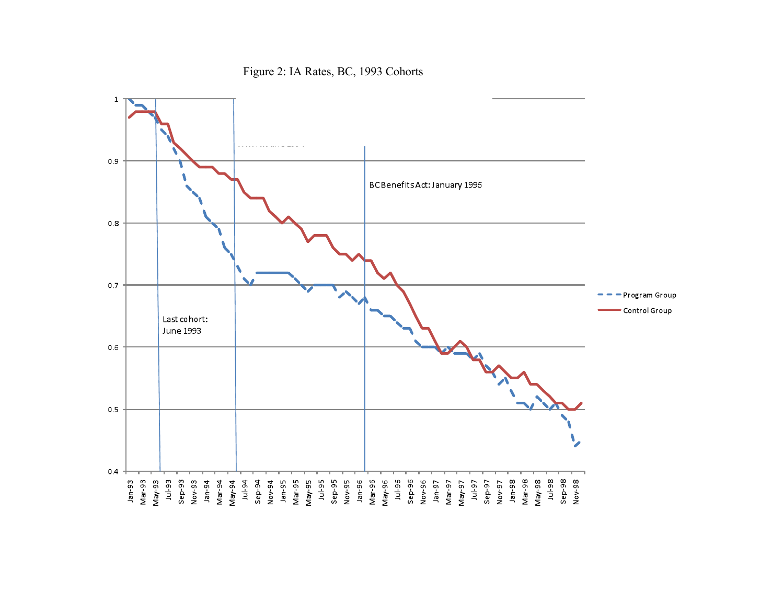Figure 2: IA Rates, BC, 1993 Cohorts

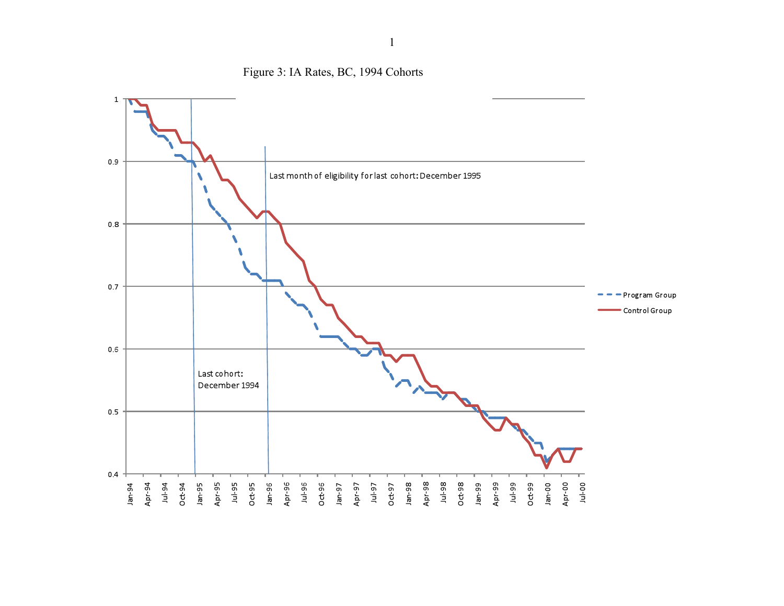

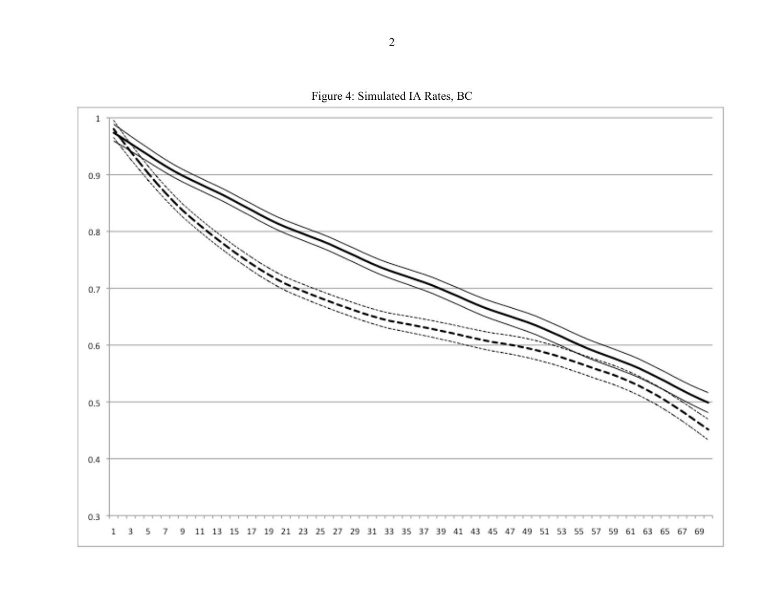Figure 4: Simulated IA Rates, BC

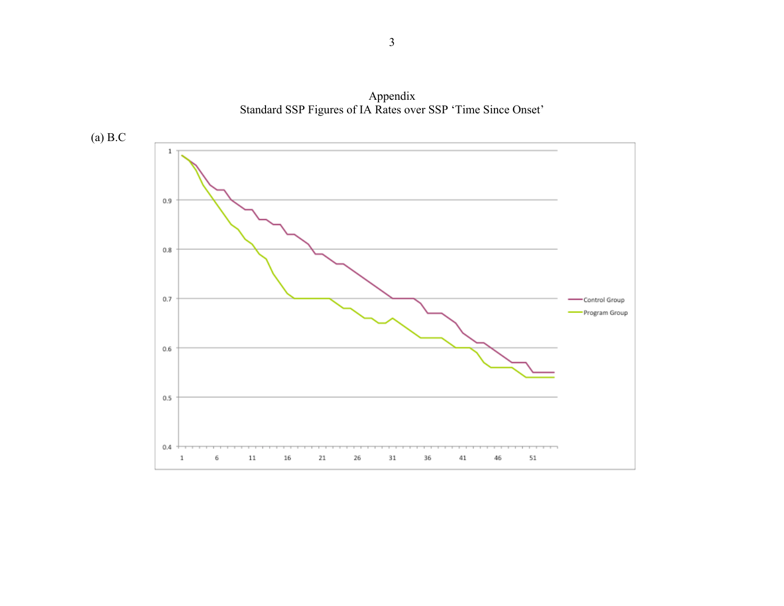